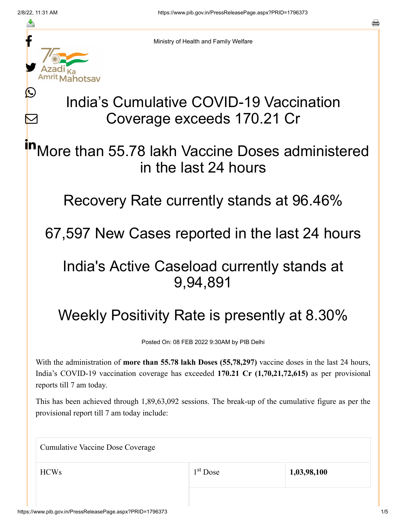≛

Ŀ

 $\bm{\nabla}$ 



Ministry of Health and Family Welfare

# India's Cumulative COVID-19 Vaccination Coverage exceeds 170.21 Cr

More than 55.78 lakh Vaccine Doses administered in the last 24 hours in

Recovery Rate currently stands at 96.46%

67,597 New Cases reported in the last 24 hours

### India's Active Caseload currently stands at 9,94,891

## Weekly Positivity Rate is presently at 8.30%

Posted On: 08 FEB 2022 9:30AM by PIB Delhi

With the administration of **more than 55.78 lakh Doses (55,78,297)** vaccine doses in the last 24 hours, India's COVID-19 vaccination coverage has exceeded **170.21 Cr (1,70,21,72,615)** as per provisional reports till 7 am today.

This has been achieved through 1,89,63,092 sessions. The break-up of the cumulative figure as per the provisional report till 7 am today include:

| <b>Cumulative Vaccine Dose Coverage</b> |            |             |  |
|-----------------------------------------|------------|-------------|--|
| <b>HCWs</b>                             | $1st$ Dose | 1,03,98,100 |  |
|                                         |            |             |  |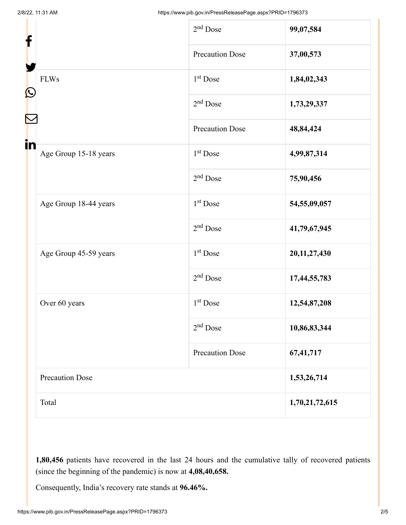| f                 |                        | $2nd$ Dose             | 99,07,584       |
|-------------------|------------------------|------------------------|-----------------|
| $\mathbf{\Omega}$ |                        | <b>Precaution Dose</b> | 37,00,573       |
|                   | <b>FLWs</b>            | $1st$ Dose             | 1,84,02,343     |
|                   |                        | $2nd$ Dose             | 1,73,29,337     |
|                   |                        | <b>Precaution Dose</b> | 48,84,424       |
| in                | Age Group 15-18 years  | $1st$ Dose             | 4,99,87,314     |
|                   |                        | $2nd$ Dose             | 75,90,456       |
|                   | Age Group 18-44 years  | 1 <sup>st</sup> Dose   | 54,55,09,057    |
|                   |                        | $2nd$ Dose             | 41,79,67,945    |
|                   | Age Group 45-59 years  | 1 <sup>st</sup> Dose   | 20, 11, 27, 430 |
|                   |                        | $2nd$ Dose             | 17,44,55,783    |
|                   | Over 60 years          | $1st$ Dose             | 12,54,87,208    |
|                   |                        | $2nd$ Dose             | 10,86,83,344    |
|                   |                        | <b>Precaution Dose</b> | 67,41,717       |
|                   | <b>Precaution Dose</b> |                        | 1,53,26,714     |
| Total             |                        |                        | 1,70,21,72,615  |

**1,80,456** patients have recovered in the last 24 hours and the cumulative tally of recovered patients (since the beginning of the pandemic) is now at **4,08,40,658.**

Consequently, India's recovery rate stands at **96.46%.**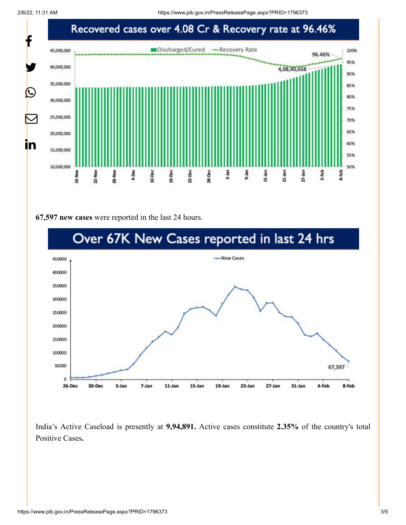

#### **67,597 new cases** were reported in the last 24 hours.



India's Active Caseload is presently at **9,94,891.** Active cases constitute **2.35%** of the country's total Positive Cases**.**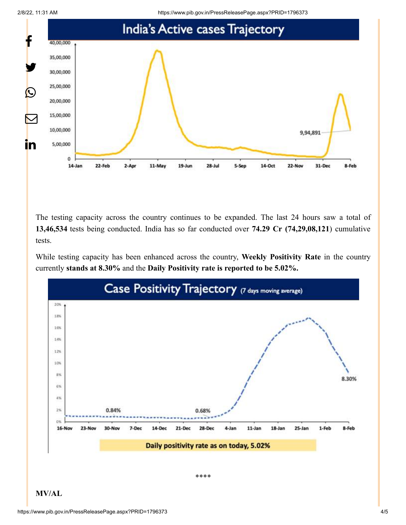2/8/22, 11:31 AM https://www.pib.gov.in/PressReleasePage.aspx?PRID=1796373



The testing capacity across the country continues to be expanded. The last 24 hours saw a total of **13,46,534** tests being conducted. India has so far conducted over **74.29 Cr (74,29,08,121**) cumulative tests.

While testing capacity has been enhanced across the country, **Weekly Positivity Rate** in the country currently **stands at 8.30%** and the **Daily Positivity rate is reported to be 5.02%.**